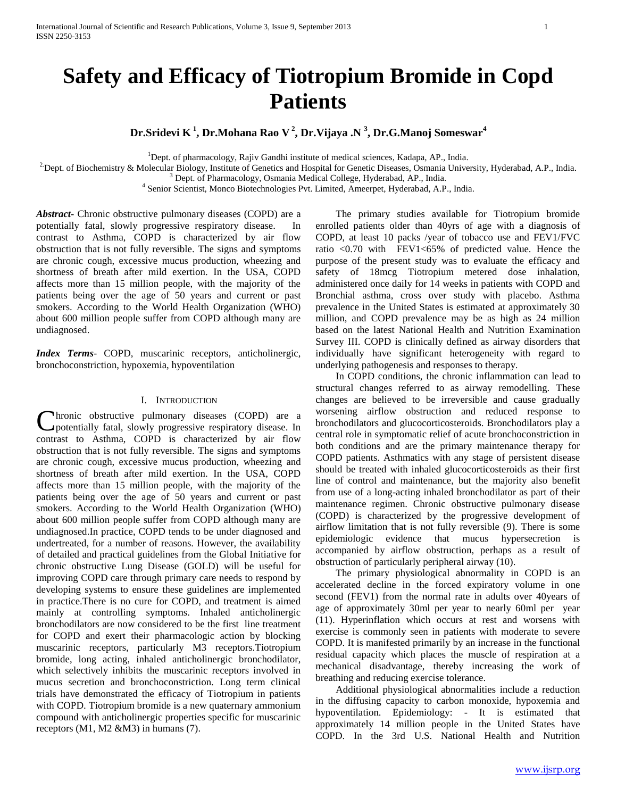# **Safety and Efficacy of Tiotropium Bromide in Copd Patients**

**Dr.Sridevi K <sup>1</sup> , Dr.Mohana Rao V <sup>2</sup> , Dr.Vijaya .N <sup>3</sup> , Dr.G.Manoj Someswar<sup>4</sup>**

<sup>1</sup>Dept. of pharmacology, Rajiv Gandhi institute of medical sciences, Kadapa, AP., India.

<sup>2</sup> Dept. of Biochemistry & Molecular Biology, Institute of Genetics and Hospital for Genetic Diseases, Osmania University, Hyderabad, A.P., India.

<sup>3</sup> Dept. of Pharmacology, Osmania Medical College, Hyderabad, AP., India.

4 Senior Scientist, Monco Biotechnologies Pvt. Limited, Ameerpet, Hyderabad, A.P., India.

*Abstract***-** Chronic obstructive pulmonary diseases (COPD) are a potentially fatal, slowly progressive respiratory disease. contrast to Asthma, COPD is characterized by air flow obstruction that is not fully reversible. The signs and symptoms are chronic cough, excessive mucus production, wheezing and shortness of breath after mild exertion. In the USA, COPD affects more than 15 million people, with the majority of the patients being over the age of 50 years and current or past smokers. According to the World Health Organization (WHO) about 600 million people suffer from COPD although many are undiagnosed.

*Index Terms*- COPD, muscarinic receptors, anticholinergic, bronchoconstriction, hypoxemia, hypoventilation

#### I. INTRODUCTION

hronic obstructive pulmonary diseases (COPD) are a Chronic obstructive pulmonary diseases (COPD) are a potentially fatal, slowly progressive respiratory disease. In contrast to Asthma, COPD is characterized by air flow obstruction that is not fully reversible. The signs and symptoms are chronic cough, excessive mucus production, wheezing and shortness of breath after mild exertion. In the USA, COPD affects more than 15 million people, with the majority of the patients being over the age of 50 years and current or past smokers. According to the World Health Organization (WHO) about 600 million people suffer from COPD although many are undiagnosed.In practice, COPD tends to be under diagnosed and undertreated, for a number of reasons. However, the availability of detailed and practical guidelines from the Global Initiative for chronic obstructive Lung Disease (GOLD) will be useful for improving COPD care through primary care needs to respond by developing systems to ensure these guidelines are implemented in practice.There is no cure for COPD, and treatment is aimed mainly at controlling symptoms. Inhaled anticholinergic bronchodilators are now considered to be the first line treatment for COPD and exert their pharmacologic action by blocking muscarinic receptors, particularly M3 receptors.Tiotropium bromide, long acting, inhaled anticholinergic bronchodilator, which selectively inhibits the muscarinic receptors involved in mucus secretion and bronchoconstriction. Long term clinical trials have demonstrated the efficacy of Tiotropium in patients with COPD. Tiotropium bromide is a new quaternary ammonium compound with anticholinergic properties specific for muscarinic receptors (M1, M2 &M3) in humans (7).

 The primary studies available for Tiotropium bromide enrolled patients older than 40yrs of age with a diagnosis of COPD, at least 10 packs /year of tobacco use and FEV1/FVC ratio <0.70 with FEV1<65% of predicted value. Hence the purpose of the present study was to evaluate the efficacy and safety of 18mcg Tiotropium metered dose inhalation, administered once daily for 14 weeks in patients with COPD and Bronchial asthma, cross over study with placebo. Asthma prevalence in the United States is estimated at approximately 30 million, and COPD prevalence may be as high as 24 million based on the latest National Health and Nutrition Examination Survey III. COPD is clinically defined as airway disorders that individually have significant heterogeneity with regard to underlying pathogenesis and responses to therapy.

 In COPD conditions, the chronic inflammation can lead to structural changes referred to as airway remodelling. These changes are believed to be irreversible and cause gradually worsening airflow obstruction and reduced response to bronchodilators and glucocorticosteroids. Bronchodilators play a central role in symptomatic relief of acute bronchoconstriction in both conditions and are the primary maintenance therapy for COPD patients. Asthmatics with any stage of persistent disease should be treated with inhaled glucocorticosteroids as their first line of control and maintenance, but the majority also benefit from use of a long-acting inhaled bronchodilator as part of their maintenance regimen. Chronic obstructive pulmonary disease (COPD) is characterized by the progressive development of airflow limitation that is not fully reversible (9). There is some epidemiologic evidence that mucus hypersecretion is accompanied by airflow obstruction, perhaps as a result of obstruction of particularly peripheral airway (10).

 The primary physiological abnormality in COPD is an accelerated decline in the forced expiratory volume in one second (FEV1) from the normal rate in adults over 40years of age of approximately 30ml per year to nearly 60ml per year (11). Hyperinflation which occurs at rest and worsens with exercise is commonly seen in patients with moderate to severe COPD. It is manifested primarily by an increase in the functional residual capacity which places the muscle of respiration at a mechanical disadvantage, thereby increasing the work of breathing and reducing exercise tolerance.

 Additional physiological abnormalities include a reduction in the diffusing capacity to carbon monoxide, hypoxemia and hypoventilation. Epidemiology: - It is estimated that approximately 14 million people in the United States have COPD. In the 3rd U.S. National Health and Nutrition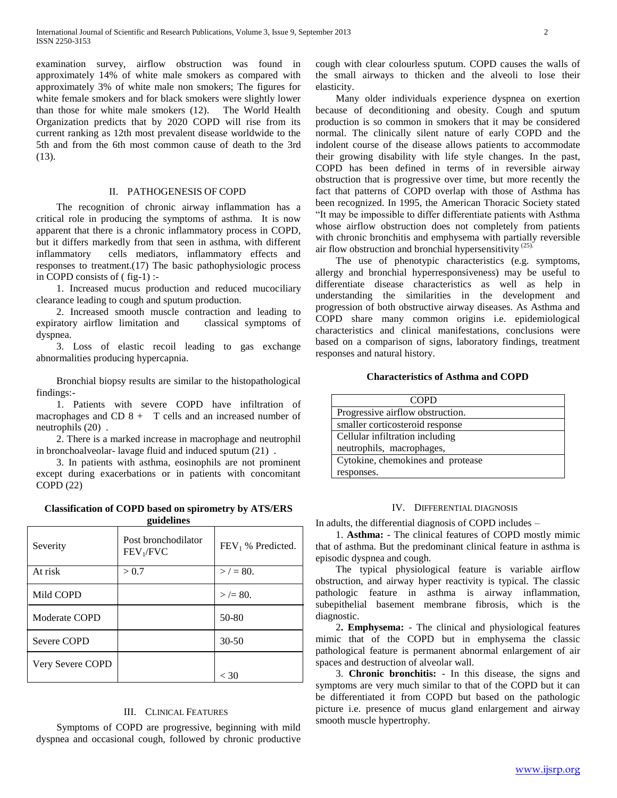examination survey, airflow obstruction was found in approximately 14% of white male smokers as compared with approximately 3% of white male non smokers; The figures for white female smokers and for black smokers were slightly lower than those for white male smokers (12). The World Health Organization predicts that by 2020 COPD will rise from its current ranking as 12th most prevalent disease worldwide to the 5th and from the 6th most common cause of death to the 3rd (13).

#### II. PATHOGENESIS OF COPD

 The recognition of chronic airway inflammation has a critical role in producing the symptoms of asthma. It is now apparent that there is a chronic inflammatory process in COPD, but it differs markedly from that seen in asthma, with different inflammatory cells mediators, inflammatory effects and responses to treatment.(17) The basic pathophysiologic process in COPD consists of ( fig-1) :-

 1. Increased mucus production and reduced mucociliary clearance leading to cough and sputum production.

 2. Increased smooth muscle contraction and leading to expiratory airflow limitation and classical symptoms of dyspnea.

 3. Loss of elastic recoil leading to gas exchange abnormalities producing hypercapnia.

 Bronchial biopsy results are similar to the histopathological findings:-

 1. Patients with severe COPD have infiltration of macrophages and CD  $8 + T$  cells and an increased number of neutrophils (20) .

 2. There is a marked increase in macrophage and neutrophil in bronchoalveolar- lavage fluid and induced sputum (21) .

 3. In patients with asthma, eosinophils are not prominent except during exacerbations or in patients with concomitant COPD (22)

**Classification of COPD based on spirometry by ATS/ERS guidelines**

| —                |                                              |                     |
|------------------|----------------------------------------------|---------------------|
| Severity         | Post bronchodilator<br>FEV <sub>1</sub> /FVC | $FEV1$ % Predicted. |
| At risk          | > 0.7                                        | $>$ / = 80.         |
| Mild COPD        |                                              | $>$ /= 80.          |
| Moderate COPD    |                                              | 50-80               |
| Severe COPD      |                                              | $30-50$             |
| Very Severe COPD |                                              | < 30                |

#### III. CLINICAL FEATURES

 Symptoms of COPD are progressive, beginning with mild dyspnea and occasional cough, followed by chronic productive cough with clear colourless sputum. COPD causes the walls of the small airways to thicken and the alveoli to lose their elasticity.

 Many older individuals experience dyspnea on exertion because of deconditioning and obesity. Cough and sputum production is so common in smokers that it may be considered normal. The clinically silent nature of early COPD and the indolent course of the disease allows patients to accommodate their growing disability with life style changes. In the past, COPD has been defined in terms of in reversible airway obstruction that is progressive over time, but more recently the fact that patterns of COPD overlap with those of Asthma has been recognized. In 1995, the American Thoracic Society stated "It may be impossible to differ differentiate patients with Asthma whose airflow obstruction does not completely from patients with chronic bronchitis and emphysema with partially reversible air flow obstruction and bronchial hypersensitivity (25).

 The use of phenotypic characteristics (e.g. symptoms, allergy and bronchial hyperresponsiveness) may be useful to differentiate disease characteristics as well as help in understanding the similarities in the development and progression of both obstructive airway diseases. As Asthma and COPD share many common origins i.e. epidemiological characteristics and clinical manifestations, conclusions were based on a comparison of signs, laboratory findings, treatment responses and natural history.

#### **Characteristics of Asthma and COPD**

| COPD                              |  |
|-----------------------------------|--|
| Progressive airflow obstruction.  |  |
| smaller corticosteroid response   |  |
| Cellular infiltration including   |  |
| neutrophils, macrophages,         |  |
| Cytokine, chemokines and protease |  |
| responses.                        |  |

#### IV. DIFFERENTIAL DIAGNOSIS

In adults, the differential diagnosis of COPD includes –

 1. **Asthma:** - The clinical features of COPD mostly mimic that of asthma. But the predominant clinical feature in asthma is episodic dyspnea and cough.

 The typical physiological feature is variable airflow obstruction, and airway hyper reactivity is typical. The classic pathologic feature in asthma is airway inflammation, subepithelial basement membrane fibrosis, which is the diagnostic.

 2**. Emphysema:** - The clinical and physiological features mimic that of the COPD but in emphysema the classic pathological feature is permanent abnormal enlargement of air spaces and destruction of alveolar wall.

 3. **Chronic bronchitis:** - In this disease, the signs and symptoms are very much similar to that of the COPD but it can be differentiated it from COPD but based on the pathologic picture i.e. presence of mucus gland enlargement and airway smooth muscle hypertrophy.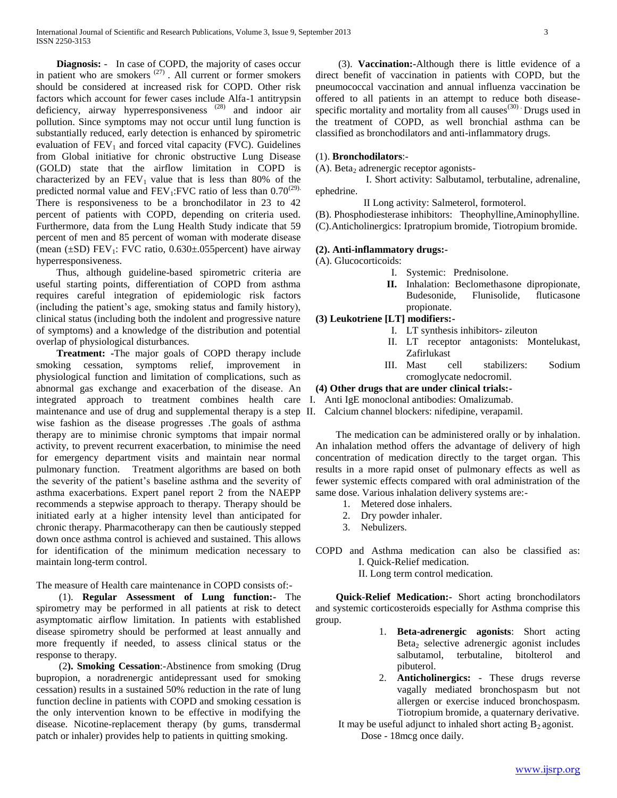**Diagnosis:** - In case of COPD, the majority of cases occur in patient who are smokers  $(27)$ . All current or former smokers should be considered at increased risk for COPD. Other risk factors which account for fewer cases include Alfa-1 antitrypsin deficiency, airway hyperresponsiveness<sup>(28)</sup> and indoor air pollution. Since symptoms may not occur until lung function is substantially reduced, early detection is enhanced by spirometric evaluation of  $FEV<sub>1</sub>$  and forced vital capacity (FVC). Guidelines from Global initiative for chronic obstructive Lung Disease (GOLD) state that the airflow limitation in COPD is characterized by an  $FEV_1$  value that is less than 80% of the predicted normal value and  $FEV_1$ :FVC ratio of less than 0.70<sup>(29).</sup> There is responsiveness to be a bronchodilator in 23 to 42 percent of patients with COPD, depending on criteria used. Furthermore, data from the Lung Health Study indicate that 59 percent of men and 85 percent of woman with moderate disease (mean  $(\pm SD)$  FEV<sub>1</sub>: FVC ratio, 0.630 $\pm$ 055 percent) have airway hyperresponsiveness.

 Thus, although guideline-based spirometric criteria are useful starting points, differentiation of COPD from asthma requires careful integration of epidemiologic risk factors (including the patient's age, smoking status and family history), clinical status (including both the indolent and progressive nature of symptoms) and a knowledge of the distribution and potential overlap of physiological disturbances.

 **Treatment: -**The major goals of COPD therapy include smoking cessation, symptoms relief, improvement in physiological function and limitation of complications, such as abnormal gas exchange and exacerbation of the disease. An integrated approach to treatment combines health care I. Anti IgE monoclonal antibodies: Omalizumab. maintenance and use of drug and supplemental therapy is a step II. Calcium channel blockers: nifedipine, verapamil. wise fashion as the disease progresses .The goals of asthma therapy are to minimise chronic symptoms that impair normal activity, to prevent recurrent exacerbation, to minimise the need for emergency department visits and maintain near normal pulmonary function. Treatment algorithms are based on both the severity of the patient's baseline asthma and the severity of asthma exacerbations. Expert panel report 2 from the NAEPP recommends a stepwise approach to therapy. Therapy should be initiated early at a higher intensity level than anticipated for chronic therapy. Pharmacotherapy can then be cautiously stepped down once asthma control is achieved and sustained. This allows for identification of the minimum medication necessary to maintain long-term control.

The measure of Health care maintenance in COPD consists of:-

 (1). **Regular Assessment of Lung function:-** The spirometry may be performed in all patients at risk to detect asymptomatic airflow limitation. In patients with established disease spirometry should be performed at least annually and more frequently if needed, to assess clinical status or the response to therapy.

 (2**). Smoking Cessation**:-Abstinence from smoking (Drug bupropion, a noradrenergic antidepressant used for smoking cessation) results in a sustained 50% reduction in the rate of lung function decline in patients with COPD and smoking cessation is the only intervention known to be effective in modifying the disease. Nicotine-replacement therapy (by gums, transdermal patch or inhaler) provides help to patients in quitting smoking.

 (3). **Vaccination:-**Although there is little evidence of a direct benefit of vaccination in patients with COPD, but the pneumococcal vaccination and annual influenza vaccination be offered to all patients in an attempt to reduce both diseasespecific mortality and mortality from all causes $(30)$ . Drugs used in the treatment of COPD, as well bronchial asthma can be classified as bronchodilators and anti-inflammatory drugs.

#### (1). **Bronchodilators**:-

(A). Beta<sub>2</sub> adrenergic receptor agonists-

 I. Short activity: Salbutamol, terbutaline, adrenaline, ephedrine.

II Long activity: Salmeterol, formoterol.

(B). Phosphodiesterase inhibitors: Theophylline,Aminophylline. (C).Anticholinergics: Ipratropium bromide, Tiotropium bromide.

# **(2). Anti-inflammatory drugs:-**

- (A). Glucocorticoids:
	- I. Systemic: Prednisolone.
	- **II.** Inhalation: Beclomethasone dipropionate, Budesonide, Flunisolide, fluticasone propionate.

**(3) Leukotriene [LT] modifiers:-**

- I. LT synthesis inhibitors- zileuton
- II. LT receptor antagonists: Montelukast, Zafirlukast
- III. Mast cell stabilizers: Sodium cromoglycate nedocromil.

#### **(4) Other drugs that are under clinical trials:-**

 The medication can be administered orally or by inhalation. An inhalation method offers the advantage of delivery of high concentration of medication directly to the target organ. This results in a more rapid onset of pulmonary effects as well as fewer systemic effects compared with oral administration of the same dose. Various inhalation delivery systems are:-

- 1. Metered dose inhalers.
- 2. Dry powder inhaler.
- 3. Nebulizers.

COPD and Asthma medication can also be classified as: I. Quick-Relief medication.

II. Long term control medication.

 **Quick-Relief Medication:-** Short acting bronchodilators and systemic corticosteroids especially for Asthma comprise this group.

- 1. **Beta-adrenergic agonists**: Short acting Beta<sub>2</sub> selective adrenergic agonist includes salbutamol, terbutaline, bitolterol and pibuterol.
- 2. **Anticholinergics:** These drugs reverse vagally mediated bronchospasm but not allergen or exercise induced bronchospasm. Tiotropium bromide, a quaternary derivative.

It may be useful adjunct to inhaled short acting  $B_2$  agonist. Dose - 18mcg once daily.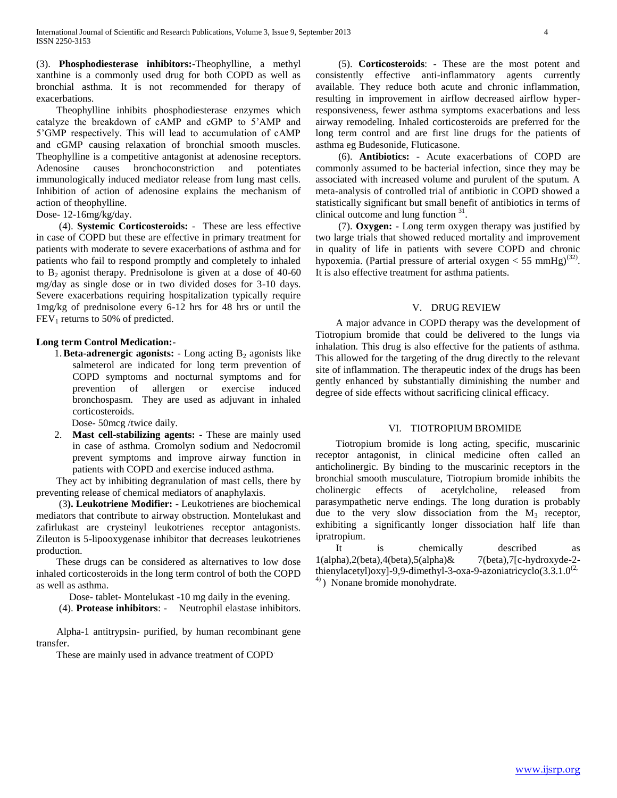(3). **Phosphodiesterase inhibitors:**-Theophylline, a methyl xanthine is a commonly used drug for both COPD as well as bronchial asthma. It is not recommended for therapy of exacerbations.

 Theophylline inhibits phosphodiesterase enzymes which catalyze the breakdown of cAMP and cGMP to 5'AMP and 5'GMP respectively. This will lead to accumulation of cAMP and cGMP causing relaxation of bronchial smooth muscles. Theophylline is a competitive antagonist at adenosine receptors. Adenosine causes bronchoconstriction and potentiates immunologically induced mediator release from lung mast cells. Inhibition of action of adenosine explains the mechanism of action of theophylline.

Dose- 12-16mg/kg/day.

 (4). **Systemic Corticosteroids:** - These are less effective in case of COPD but these are effective in primary treatment for patients with moderate to severe exacerbations of asthma and for patients who fail to respond promptly and completely to inhaled to  $B_2$  agonist therapy. Prednisolone is given at a dose of 40-60 mg/day as single dose or in two divided doses for 3-10 days. Severe exacerbations requiring hospitalization typically require 1mg/kg of prednisolone every 6-12 hrs for 48 hrs or until the  $FEV<sub>1</sub>$  returns to 50% of predicted.

### **Long term Control Medication:-**

1. **Beta-adrenergic agonists:** - Long acting B<sub>2</sub> agonists like salmeterol are indicated for long term prevention of COPD symptoms and nocturnal symptoms and for prevention of allergen or exercise induced bronchospasm. They are used as adjuvant in inhaled corticosteroids.

Dose- 50mcg /twice daily.

2. **Mast cell-stabilizing agents:** - These are mainly used in case of asthma. Cromolyn sodium and Nedocromil prevent symptoms and improve airway function in patients with COPD and exercise induced asthma.

 They act by inhibiting degranulation of mast cells, there by preventing release of chemical mediators of anaphylaxis.

 (3**). Leukotriene Modifier:** - Leukotrienes are biochemical mediators that contribute to airway obstruction. Montelukast and zafirlukast are crysteinyl leukotrienes receptor antagonists. Zileuton is 5-lipooxygenase inhibitor that decreases leukotrienes production.

 These drugs can be considered as alternatives to low dose inhaled corticosteroids in the long term control of both the COPD as well as asthma.

Dose- tablet- Montelukast -10 mg daily in the evening.

(4). **Protease inhibitors**: - Neutrophil elastase inhibitors.

 Alpha-1 antitrypsin- purified, by human recombinant gene transfer.

These are mainly used in advance treatment of COPD.

 (5). **Corticosteroids**: - These are the most potent and consistently effective anti-inflammatory agents currently available. They reduce both acute and chronic inflammation, resulting in improvement in airflow decreased airflow hyperresponsiveness, fewer asthma symptoms exacerbations and less airway remodeling. Inhaled corticosteroids are preferred for the long term control and are first line drugs for the patients of asthma eg Budesonide, Fluticasone.

 (6). **Antibiotics:** - Acute exacerbations of COPD are commonly assumed to be bacterial infection, since they may be associated with increased volume and purulent of the sputum. A meta-analysis of controlled trial of antibiotic in COPD showed a statistically significant but small benefit of antibiotics in terms of clinical outcome and lung function <sup>31</sup>.

 (7). **Oxygen: -** Long term oxygen therapy was justified by two large trials that showed reduced mortality and improvement in quality of life in patients with severe COPD and chronic hypoxemia. (Partial pressure of arterial oxygen  $<$  55 mmHg)<sup>(32)</sup>. It is also effective treatment for asthma patients.

#### V. DRUG REVIEW

 A major advance in COPD therapy was the development of Tiotropium bromide that could be delivered to the lungs via inhalation. This drug is also effective for the patients of asthma. This allowed for the targeting of the drug directly to the relevant site of inflammation. The therapeutic index of the drugs has been gently enhanced by substantially diminishing the number and degree of side effects without sacrificing clinical efficacy.

#### VI. TIOTROPIUM BROMIDE

 Tiotropium bromide is long acting, specific, muscarinic receptor antagonist, in clinical medicine often called an anticholinergic. By binding to the muscarinic receptors in the bronchial smooth musculature, Tiotropium bromide inhibits the cholinergic effects of acetylcholine, released from parasympathetic nerve endings. The long duration is probably due to the very slow dissociation from the  $M_3$  receptor, exhibiting a significantly longer dissociation half life than ipratropium.

It is chemically described as 1(alpha),2(beta),4(beta),5(alpha)& 7(beta),7[c-hydroxyde-2 thienylacetyl)oxy]-9,9-dimethyl-3-oxa-9-azoniatricyclo(3.3.1.0<sup>(2,</sup> 4) ) Nonane bromide monohydrate.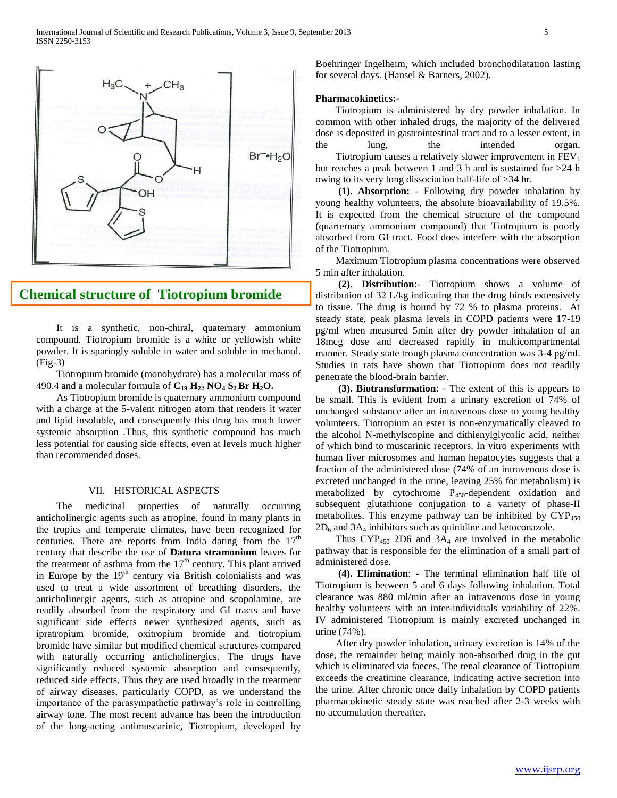

## **Chemical structure of Tiotropium bromide**

 It is a synthetic, non-chiral, quaternary ammonium **(Fig-3)**compound. Tiotropium bromide is a white or yellowish white powder. It is sparingly soluble in water and soluble in methanol. (Fig-3)

 Tiotropium bromide (monohydrate) has a molecular mass of 490.4 and a molecular formula of  $C_{19}$   $H_{22}$   $NO_4$   $S_2$  **Br**  $H_2O$ .

 As Tiotropium bromide is quaternary ammonium compound with a charge at the 5-valent nitrogen atom that renders it water and lipid insoluble, and consequently this drug has much lower systemic absorption .Thus, this synthetic compound has much less potential for causing side effects, even at levels much higher than recommended doses.

#### VII. HISTORICAL ASPECTS

 The medicinal properties of naturally occurring anticholinergic agents such as atropine, found in many plants in the tropics and temperate climates, have been recognized for centuries. There are reports from India dating from the  $17<sup>th</sup>$ century that describe the use of **Datura stramonium** leaves for the treatment of asthma from the  $17<sup>th</sup>$  century. This plant arrived in Europe by the 19<sup>th</sup> century via British colonialists and was used to treat a wide assortment of breathing disorders, the anticholinergic agents, such as atropine and scopolamine, are readily absorbed from the respiratory and GI tracts and have significant side effects newer synthesized agents, such as ipratropium bromide, oxitropium bromide and tiotropium bromide have similar but modified chemical structures compared with naturally occurring anticholinergics. The drugs have significantly reduced systemic absorption and consequently, reduced side effects. Thus they are used broadly in the treatment of airway diseases, particularly COPD, as we understand the importance of the parasympathetic pathway's role in controlling airway tone. The most recent advance has been the introduction of the long-acting antimuscarinic, Tiotropium, developed by

Boehringer Ingelheim, which included bronchodilatation lasting for several days. (Hansel & Barners, 2002).

#### **Pharmacokinetics:-**

 Tiotropium is administered by dry powder inhalation. In common with other inhaled drugs, the majority of the delivered dose is deposited in gastrointestinal tract and to a lesser extent, in the lung, the intended organ. Tiotropium causes a relatively slower improvement in  $FEV<sub>1</sub>$ but reaches a peak between 1 and 3 h and is sustained for >24 h owing to its very long dissociation half-life of >34 hr.

 **(1). Absorption:** - Following dry powder inhalation by young healthy volunteers, the absolute bioavailability of 19.5%. It is expected from the chemical structure of the compound (quarternary ammonium compound) that Tiotropium is poorly absorbed from GI tract. Food does interfere with the absorption of the Tiotropium.

 Maximum Tiotropium plasma concentrations were observed 5 min after inhalation.

 **(2). Distribution**:- Tiotropium shows a volume of distribution of 32 L/kg indicating that the drug binds extensively to tissue. The drug is bound by 72 % to plasma proteins. At steady state, peak plasma levels in COPD patients were 17-19 pg/ml when measured 5min after dry powder inhalation of an 18mcg dose and decreased rapidly in multicompartmental manner. Steady state trough plasma concentration was 3-4 pg/ml. Studies in rats have shown that Tiotropium does not readily penetrate the blood-brain barrier.

 **(3). Biotransformation**: - The extent of this is appears to be small. This is evident from a urinary excretion of 74% of unchanged substance after an intravenous dose to young healthy volunteers. Tiotropium an ester is non-enzymatically cleaved to the alcohol N-methylscopine and dithienylglycolic acid, neither of which bind to muscarinic receptors. In vitro experiments with human liver microsomes and human hepatocytes suggests that a fraction of the administered dose (74% of an intravenous dose is excreted unchanged in the urine, leaving 25% for metabolism) is metabolized by cytochrome P450-dependent oxidation and subsequent glutathione conjugation to a variety of phase-II metabolites. This enzyme pathway can be inhibited by  $CYP_{450}$  $2D_6$  and  $3A_4$  inhibitors such as quinidine and ketoconazole.

Thus  $CYP_{450}$  2D6 and 3A<sub>4</sub> are involved in the metabolic pathway that is responsible for the elimination of a small part of administered dose.

 **(4). Elimination**: - The terminal elimination half life of Tiotropium is between 5 and 6 days following inhalation. Total clearance was 880 ml/min after an intravenous dose in young healthy volunteers with an inter-individuals variability of 22%. IV administered Tiotropium is mainly excreted unchanged in urine (74%).

 After dry powder inhalation, urinary excretion is 14% of the dose, the remainder being mainly non-absorbed drug in the gut which is eliminated via faeces. The renal clearance of Tiotropium exceeds the creatinine clearance, indicating active secretion into the urine. After chronic once daily inhalation by COPD patients pharmacokinetic steady state was reached after 2-3 weeks with no accumulation thereafter.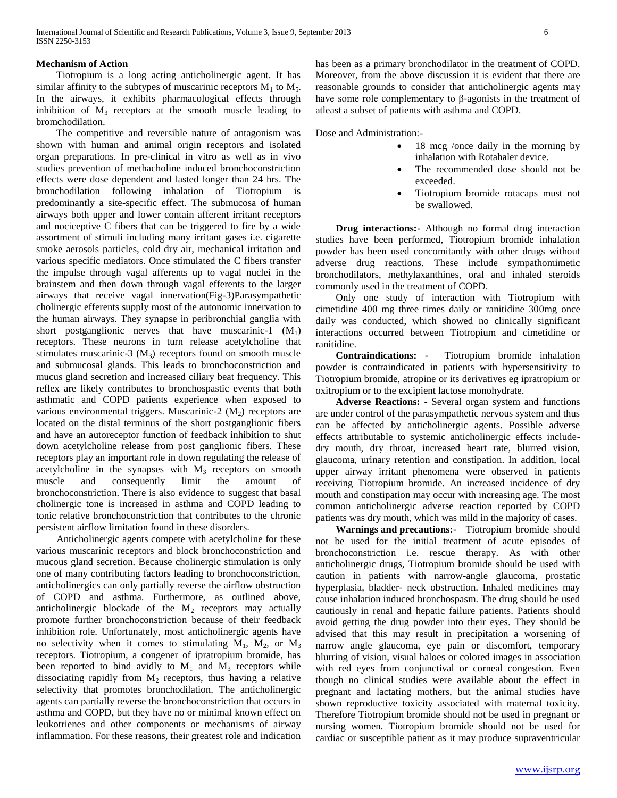#### **Mechanism of Action**

 Tiotropium is a long acting anticholinergic agent. It has similar affinity to the subtypes of muscarinic receptors  $M_1$  to  $M_5$ . In the airways, it exhibits pharmacological effects through inhibition of  $M_3$  receptors at the smooth muscle leading to bromchodilation.

 The competitive and reversible nature of antagonism was shown with human and animal origin receptors and isolated organ preparations. In pre-clinical in vitro as well as in vivo studies prevention of methacholine induced bronchoconstriction effects were dose dependent and lasted longer than 24 hrs. The bronchodilation following inhalation of Tiotropium is predominantly a site-specific effect. The submucosa of human airways both upper and lower contain afferent irritant receptors and nociceptive C fibers that can be triggered to fire by a wide assortment of stimuli including many irritant gases i.e. cigarette smoke aerosols particles, cold dry air, mechanical irritation and various specific mediators. Once stimulated the C fibers transfer the impulse through vagal afferents up to vagal nuclei in the brainstem and then down through vagal efferents to the larger airways that receive vagal innervation(Fig-3)Parasympathetic cholinergic efferents supply most of the autonomic innervation to the human airways. They synapse in peribronchial ganglia with short postganglionic nerves that have muscarinic-1  $(M_1)$ receptors. These neurons in turn release acetylcholine that stimulates muscarinic-3  $(M_3)$  receptors found on smooth muscle and submucosal glands. This leads to bronchoconstriction and mucus gland secretion and increased ciliary beat frequency. This reflex are likely contributes to bronchospastic events that both asthmatic and COPD patients experience when exposed to various environmental triggers. Muscarinic-2  $(M<sub>2</sub>)$  receptors are located on the distal terminus of the short postganglionic fibers and have an autoreceptor function of feedback inhibition to shut down acetylcholine release from post ganglionic fibers. These receptors play an important role in down regulating the release of acetylcholine in the synapses with  $M_3$  receptors on smooth muscle and consequently limit the amount of bronchoconstriction. There is also evidence to suggest that basal cholinergic tone is increased in asthma and COPD leading to tonic relative bronchoconstriction that contributes to the chronic persistent airflow limitation found in these disorders.

 Anticholinergic agents compete with acetylcholine for these various muscarinic receptors and block bronchoconstriction and mucous gland secretion. Because cholinergic stimulation is only one of many contributing factors leading to bronchoconstriction, anticholinergics can only partially reverse the airflow obstruction of COPD and asthma. Furthermore, as outlined above, anticholinergic blockade of the  $M_2$  receptors may actually promote further bronchoconstriction because of their feedback inhibition role. Unfortunately, most anticholinergic agents have no selectivity when it comes to stimulating  $M_1$ ,  $M_2$ , or  $M_3$ receptors. Tiotropium, a congener of ipratropium bromide, has been reported to bind avidly to  $M_1$  and  $M_3$  receptors while dissociating rapidly from  $M_2$  receptors, thus having a relative selectivity that promotes bronchodilation. The anticholinergic agents can partially reverse the bronchoconstriction that occurs in asthma and COPD, but they have no or minimal known effect on leukotrienes and other components or mechanisms of airway inflammation. For these reasons, their greatest role and indication has been as a primary bronchodilator in the treatment of COPD. Moreover, from the above discussion it is evident that there are reasonable grounds to consider that anticholinergic agents may have some role complementary to β-agonists in the treatment of atleast a subset of patients with asthma and COPD.

Dose and Administration:-

- 18 mcg /once daily in the morning by inhalation with Rotahaler device.
- The recommended dose should not be exceeded.
- Tiotropium bromide rotacaps must not be swallowed.

 **Drug interactions:-** Although no formal drug interaction studies have been performed, Tiotropium bromide inhalation powder has been used concomitantly with other drugs without adverse drug reactions. These include sympathomimetic bronchodilators, methylaxanthines, oral and inhaled steroids commonly used in the treatment of COPD.

 Only one study of interaction with Tiotropium with cimetidine 400 mg three times daily or ranitidine 300mg once daily was conducted, which showed no clinically significant interactions occurred between Tiotropium and cimetidine or ranitidine.

 **Contraindications: -** Tiotropium bromide inhalation powder is contraindicated in patients with hypersensitivity to Tiotropium bromide, atropine or its derivatives eg ipratropium or oxitropium or to the excipient lactose monohydrate.

 **Adverse Reactions:** - Several organ system and functions are under control of the parasympathetic nervous system and thus can be affected by anticholinergic agents. Possible adverse effects attributable to systemic anticholinergic effects includedry mouth, dry throat, increased heart rate, blurred vision, glaucoma, urinary retention and constipation. In addition, local upper airway irritant phenomena were observed in patients receiving Tiotropium bromide. An increased incidence of dry mouth and constipation may occur with increasing age. The most common anticholinergic adverse reaction reported by COPD patients was dry mouth, which was mild in the majority of cases.

 **Warnings and precautions:-** Tiotropium bromide should not be used for the initial treatment of acute episodes of bronchoconstriction i.e. rescue therapy. As with other anticholinergic drugs, Tiotropium bromide should be used with caution in patients with narrow-angle glaucoma, prostatic hyperplasia, bladder- neck obstruction. Inhaled medicines may cause inhalation induced bronchospasm. The drug should be used cautiously in renal and hepatic failure patients. Patients should avoid getting the drug powder into their eyes. They should be advised that this may result in precipitation a worsening of narrow angle glaucoma, eye pain or discomfort, temporary blurring of vision, visual haloes or colored images in association with red eyes from conjunctival or corneal congestion. Even though no clinical studies were available about the effect in pregnant and lactating mothers, but the animal studies have shown reproductive toxicity associated with maternal toxicity. Therefore Tiotropium bromide should not be used in pregnant or nursing women. Tiotropium bromide should not be used for cardiac or susceptible patient as it may produce supraventricular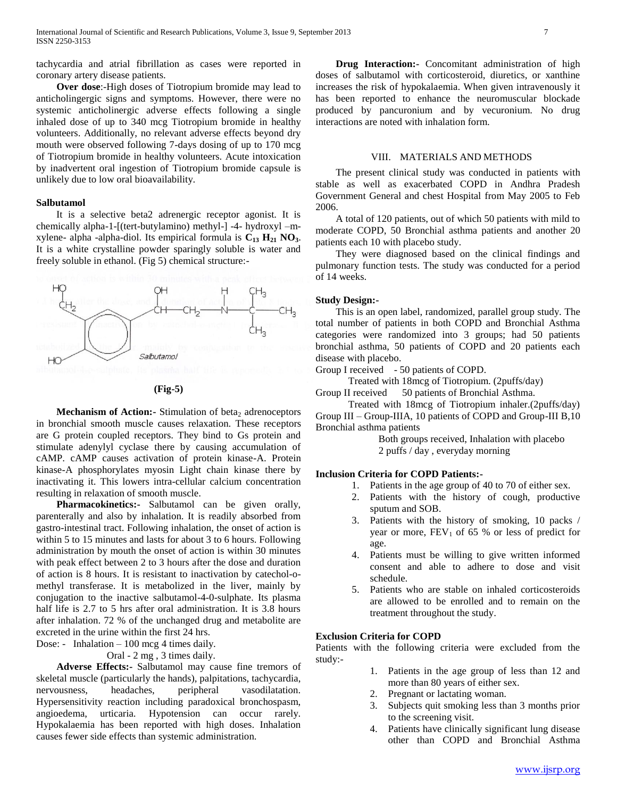tachycardia and atrial fibrillation as cases were reported in coronary artery disease patients.

 **Over dose**:-High doses of Tiotropium bromide may lead to anticholingergic signs and symptoms. However, there were no systemic anticholinergic adverse effects following a single inhaled dose of up to 340 mcg Tiotropium bromide in healthy volunteers. Additionally, no relevant adverse effects beyond dry mouth were observed following 7-days dosing of up to 170 mcg of Tiotropium bromide in healthy volunteers. Acute intoxication by inadvertent oral ingestion of Tiotropium bromide capsule is unlikely due to low oral bioavailability.

#### **Salbutamol**

 It is a selective beta2 adrenergic receptor agonist. It is chemically alpha-1-[(tert-butylamino) methyl-] -4- hydroxyl –mxylene- alpha -alpha-diol. Its empirical formula is **C<sup>13</sup> H<sup>21</sup> NO3**. It is a white crystalline powder sparingly soluble is water and freely soluble in ethanol. (Fig 5) chemical structure:-





**Mechanism of Action:** Stimulation of beta<sub>2</sub> adrenoceptors in bronchial smooth muscle causes relaxation. These receptors are G protein coupled receptors. They bind to Gs protein and stimulate adenylyl cyclase there by causing accumulation of cAMP. cAMP causes activation of protein kinase-A. Protein kinase-A phosphorylates myosin Light chain kinase there by inactivating it. This lowers intra-cellular calcium concentration resulting in relaxation of smooth muscle.

 **Pharmacokinetics:-** Salbutamol can be given orally, parenterally and also by inhalation. It is readily absorbed from gastro-intestinal tract. Following inhalation, the onset of action is within 5 to 15 minutes and lasts for about 3 to 6 hours. Following administration by mouth the onset of action is within 30 minutes with peak effect between 2 to 3 hours after the dose and duration of action is 8 hours. It is resistant to inactivation by catechol-omethyl transferase. It is metabolized in the liver, mainly by conjugation to the inactive salbutamol-4-0-sulphate. Its plasma half life is 2.7 to 5 hrs after oral administration. It is 3.8 hours after inhalation. 72 % of the unchanged drug and metabolite are excreted in the urine within the first 24 hrs.

Dose: - Inhalation – 100 mcg 4 times daily.

Oral - 2 mg , 3 times daily.

 **Adverse Effects:-** Salbutamol may cause fine tremors of skeletal muscle (particularly the hands), palpitations, tachycardia, nervousness, headaches, peripheral vasodilatation. Hypersensitivity reaction including paradoxical bronchospasm, angioedema, urticaria. Hypotension can occur rarely. Hypokalaemia has been reported with high doses. Inhalation causes fewer side effects than systemic administration.

 **Drug Interaction:-** Concomitant administration of high doses of salbutamol with corticosteroid, diuretics, or xanthine increases the risk of hypokalaemia. When given intravenously it has been reported to enhance the neuromuscular blockade produced by pancuronium and by vecuronium. No drug interactions are noted with inhalation form.

#### VIII. MATERIALS AND METHODS

 The present clinical study was conducted in patients with stable as well as exacerbated COPD in Andhra Pradesh Government General and chest Hospital from May 2005 to Feb 2006.

 A total of 120 patients, out of which 50 patients with mild to moderate COPD, 50 Bronchial asthma patients and another 20 patients each 10 with placebo study.

 They were diagnosed based on the clinical findings and pulmonary function tests. The study was conducted for a period of 14 weeks.

#### **Study Design:-**

 This is an open label, randomized, parallel group study. The total number of patients in both COPD and Bronchial Asthma categories were randomized into 3 groups; had 50 patients bronchial asthma, 50 patients of COPD and 20 patients each disease with placebo.

Group I received - 50 patients of COPD.

Treated with 18mcg of Tiotropium. (2puffs/day)

Group II received 50 patients of Bronchial Asthma.

 Treated with 18mcg of Tiotropium inhaler.(2puffs/day) Group III – Group-IIIA, 10 patients of COPD and Group-III B,10 Bronchial asthma patients

> Both groups received, Inhalation with placebo 2 puffs / day , everyday morning

#### **Inclusion Criteria for COPD Patients:-**

- 1. Patients in the age group of 40 to 70 of either sex.
- 2. Patients with the history of cough, productive sputum and SOB.
- 3. Patients with the history of smoking, 10 packs / year or more,  $FEV_1$  of 65 % or less of predict for age.
- 4. Patients must be willing to give written informed consent and able to adhere to dose and visit schedule.
- 5. Patients who are stable on inhaled corticosteroids are allowed to be enrolled and to remain on the treatment throughout the study.

## **Exclusion Criteria for COPD**

Patients with the following criteria were excluded from the study:-

- 1. Patients in the age group of less than 12 and more than 80 years of either sex.
- 2. Pregnant or lactating woman.
- 3. Subjects quit smoking less than 3 months prior to the screening visit.
- 4. Patients have clinically significant lung disease other than COPD and Bronchial Asthma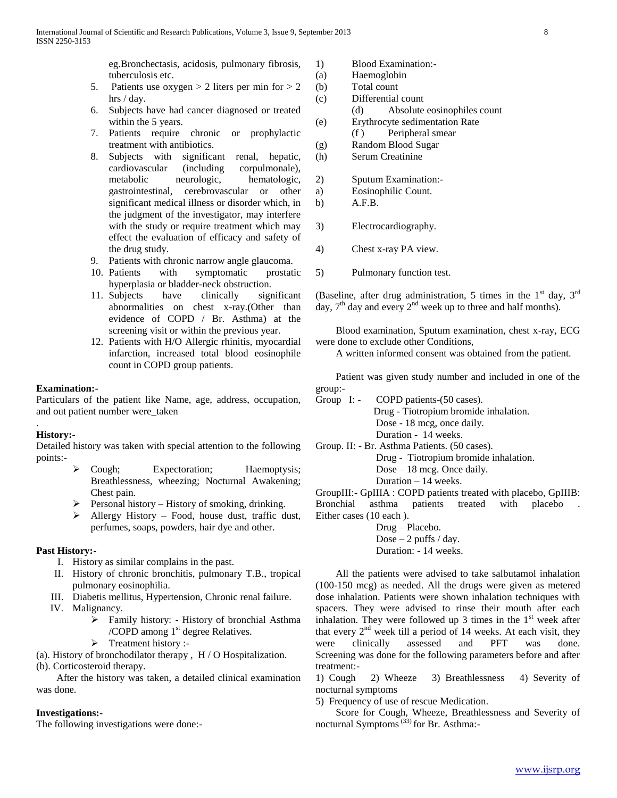eg.Bronchectasis, acidosis, pulmonary fibrosis, tuberculosis etc.

- 5. Patients use oxygen  $> 2$  liters per min for  $> 2$ hrs / day.
- 6. Subjects have had cancer diagnosed or treated within the 5 years.
- 7. Patients require chronic or prophylactic treatment with antibiotics.
- 8. Subjects with significant renal, hepatic, cardiovascular (including corpulmonale), metabolic neurologic, hematologic, gastrointestinal, cerebrovascular or other significant medical illness or disorder which, in the judgment of the investigator, may interfere with the study or require treatment which may effect the evaluation of efficacy and safety of the drug study.
- 9. Patients with chronic narrow angle glaucoma.
- 10. Patients with symptomatic prostatic hyperplasia or bladder-neck obstruction.
- 11. Subjects have clinically significant abnormalities on chest x-ray.(Other than evidence of COPD / Br. Asthma) at the screening visit or within the previous year.
- 12. Patients with H/O Allergic rhinitis, myocardial infarction, increased total blood eosinophile count in COPD group patients.

#### **Examination:-**

Particulars of the patient like Name, age, address, occupation, and out patient number were\_taken

#### **History:-**

.

Detailed history was taken with special attention to the following points:-

- Cough; Expectoration; Haemoptysis; Breathlessness, wheezing; Nocturnal Awakening; Chest pain.
- $\triangleright$  Personal history History of smoking, drinking.
- Allergy History Food, house dust, traffic dust, perfumes, soaps, powders, hair dye and other.

#### **Past History:-**

- I. History as similar complains in the past.
- II. History of chronic bronchitis, pulmonary T.B., tropical pulmonary eosinophilia.
- III. Diabetis mellitus, Hypertension, Chronic renal failure.
- IV. Malignancy.
	- Family history: History of bronchial Asthma /COPD among 1<sup>st</sup> degree Relatives.
	- $\triangleright$  Treatment history :-

(a). History of bronchodilator therapy , H / O Hospitalization. (b). Corticosteroid therapy.

 After the history was taken, a detailed clinical examination was done.

#### **Investigations:-**

The following investigations were done:-

- 1) Blood Examination:-
- (a) Haemoglobin
- (b) Total count
- (c) Differential count
	- (d) Absolute eosinophiles count
- (e) Erythrocyte sedimentation Rate
- (f ) Peripheral smear
- (g) Random Blood Sugar
- (h) Serum Creatinine

2) Sputum Examination:-

- a) Eosinophilic Count.
- b) A.F.B.
- 3) Electrocardiography.
- 4) Chest x-ray PA view.
- 5) Pulmonary function test.

(Baseline, after drug administration, 5 times in the  $1<sup>st</sup>$  day,  $3<sup>rd</sup>$ day,  $7<sup>th</sup>$  day and every  $2<sup>nd</sup>$  week up to three and half months).

 Blood examination, Sputum examination, chest x-ray, ECG were done to exclude other Conditions,

A written informed consent was obtained from the patient.

 Patient was given study number and included in one of the group:-

Group I: - COPD patients-(50 cases). Drug - Tiotropium bromide inhalation. Dose - 18 mcg, once daily. Duration - 14 weeks.

Group. II: - Br. Asthma Patients. (50 cases).

 Drug - Tiotropium bromide inhalation. Dose – 18 mcg. Once daily. Duration – 14 weeks.

GroupIII:- GpIIIA : COPD patients treated with placebo, GpIIIB: Bronchial asthma patients treated with placebo . Either cases (10 each ).

> Drug – Placebo. Dose  $-2$  puffs / day. Duration: - 14 weeks.

 All the patients were advised to take salbutamol inhalation (100-150 mcg) as needed. All the drugs were given as metered dose inhalation. Patients were shown inhalation techniques with spacers. They were advised to rinse their mouth after each inhalation. They were followed up 3 times in the  $1<sup>st</sup>$  week after that every  $2<sup>nd</sup>$  week till a period of 14 weeks. At each visit, they were clinically assessed and PFT was done. Screening was done for the following parameters before and after treatment:-

1) Cough 2) Wheeze 3) Breathlessness 4) Severity of nocturnal symptoms

5) Frequency of use of rescue Medication.

 Score for Cough, Wheeze, Breathlessness and Severity of nocturnal Symptoms<sup>(33)</sup> for Br. Asthma:-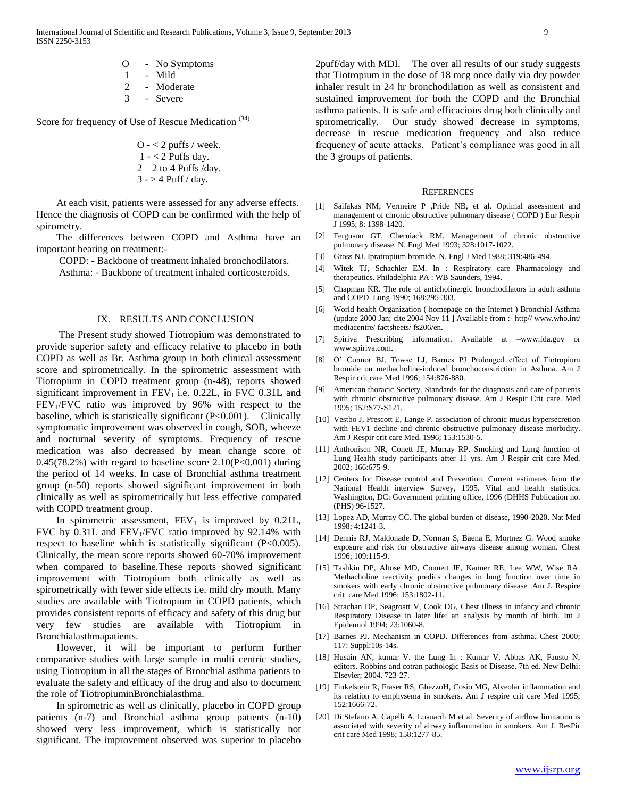O - No Symptoms 1 - Mild 2 - Moderate 3 - Severe

Score for frequency of Use of Rescue Medication<sup>(34)</sup>

$$
O - \langle 2 \text{ purfs} / \text{week.}
$$
\n $1 - \langle 2 \text{ Putfs day.}$ \n $2 - 2 \text{ to 4 Puffs/day.}$ \n $3 - > 4 Puff / day.$ 

 At each visit, patients were assessed for any adverse effects. Hence the diagnosis of COPD can be confirmed with the help of spirometry.

 The differences between COPD and Asthma have an important bearing on treatment:-

 COPD: - Backbone of treatment inhaled bronchodilators. Asthma: - Backbone of treatment inhaled corticosteroids.

#### IX. RESULTS AND CONCLUSION

 The Present study showed Tiotropium was demonstrated to provide superior safety and efficacy relative to placebo in both COPD as well as Br. Asthma group in both clinical assessment score and spirometrically. In the spirometric assessment with Tiotropium in COPD treatment group (n-48), reports showed significant improvement in  $FEV<sub>1</sub>$  i.e. 0.22L, in FVC 0.31L and  $FEV<sub>1</sub>/FVC$  ratio was improved by 96% with respect to the baseline, which is statistically significant (P<0.001). Clinically symptomatic improvement was observed in cough, SOB, wheeze and nocturnal severity of symptoms. Frequency of rescue medication was also decreased by mean change score of  $0.45(78.2%)$  with regard to baseline score  $2.10(P<0.001)$  during the period of 14 weeks. In case of Bronchial asthma treatment group (n-50) reports showed significant improvement in both clinically as well as spirometrically but less effective compared with COPD treatment group.

In spirometric assessment,  $FEV<sub>1</sub>$  is improved by 0.21L, FVC by  $0.31L$  and FEV<sub>1</sub>/FVC ratio improved by  $92.14\%$  with respect to baseline which is statistically significant (P<0.005). Clinically, the mean score reports showed 60-70% improvement when compared to baseline.These reports showed significant improvement with Tiotropium both clinically as well as spirometrically with fewer side effects i.e. mild dry mouth. Many studies are available with Tiotropium in COPD patients, which provides consistent reports of efficacy and safety of this drug but very few studies are available with Tiotropium in Bronchialasthmapatients.

 However, it will be important to perform further comparative studies with large sample in multi centric studies, using Tiotropium in all the stages of Bronchial asthma patients to evaluate the safety and efficacy of the drug and also to document the role of TiotropiuminBronchialasthma.

 In spirometric as well as clinically, placebo in COPD group patients (n-7) and Bronchial asthma group patients (n-10) showed very less improvement, which is statistically not significant. The improvement observed was superior to placebo

2puff/day with MDI. The over all results of our study suggests that Tiotropium in the dose of 18 mcg once daily via dry powder inhaler result in 24 hr bronchodilation as well as consistent and sustained improvement for both the COPD and the Bronchial asthma patients. It is safe and efficacious drug both clinically and spirometrically. Our study showed decrease in symptoms, decrease in rescue medication frequency and also reduce frequency of acute attacks. Patient's compliance was good in all the 3 groups of patients.

#### **REFERENCES**

- [1] Saifakas NM, Vermeire P ,Pride NB, et al. Optimal assessment and management of chronic obstructive pulmonary disease ( COPD ) Eur Respir J 1995; 8: 1398-1420.
- [2] Ferguson GT, Cherniack RM. Management of chronic obstructive pulmonary disease. N. Engl Med 1993; 328:1017-1022.
- [3] Gross NJ. Ipratropium bromide. N. Engl J Med 1988; 319:486-494.
- [4] Witek TJ, Schachler EM. In : Respiratory care Pharmacology and therapeutics. Philadelphia PA : WB Saunders, 1994.
- [5] Chapman KR. The role of anticholinergic bronchodilators in adult asthma and COPD. Lung 1990; 168:295-303.
- [6] World health Organization ( homepage on the Internet ) Bronchial Asthma (update 2000 Jan; cite 2004 Nov 11 ] Available from :- http// www.who.int/ mediacentre/ factsheets/ fs206/en.
- [7] Spiriva Prescribing information. Available at –www.fda.gov or www.spiriva.com.
- [8] O' Connor BJ, Towse LJ, Barnes PJ Prolonged effect of Tiotropium bromide on methacholine-induced bronchoconstriction in Asthma. Am J Respir crit care Med 1996; 154:876-880.
- [9] American thoracic Society. Standards for the diagnosis and care of patients with chronic obstructive pulmonary disease. Am J Respir Crit care. Med 1995; 152:S77-S121.
- [10] Vestbo J, Prescott E, Lange P. association of chronic mucus hypersecretion with FEV1 decline and chronic obstructive pulmonary disease morbidity. Am J Respir crit care Med. 1996; 153:1530-5.
- [11] Anthonisen NR, Conett JE, Murray RP. Smoking and Lung function of Lung Health study participants after 11 yrs. Am J Respir crit care Med. 2002; 166:675-9.
- [12] Centers for Disease control and Prevention. Current estimates from the National Health interview Survey, 1995. Vital and health statistics. Washington, DC: Government printing office, 1996 (DHHS Publication no. (PHS) 96-1527.
- [13] Lopez AD, Murray CC. The global burden of disease, 1990-2020. Nat Med 1998; 4:1241-3.
- [14] Dennis RJ, Maldonade D, Norman S, Baena E, Mortnez G. Wood smoke exposure and risk for obstructive airways disease among woman. Chest 1996; 109:115-9.
- [15] Tashkin DP, Altose MD, Connett JE, Kanner RE, Lee WW, Wise RA. Methacholine reactivity predics changes in lung function over time in smokers with early chronic obstructive pulmonary disease .Am J. Respire crit care Med 1996; 153:1802-11.
- [16] Strachan DP, Seagroatt V, Cook DG, Chest illness in infancy and chronic Respiratory Disease in later life: an analysis by month of birth. Int J Epidemiol 1994; 23:1060-8.
- [17] Barnes PJ. Mechanism in COPD. Differences from asthma. Chest 2000; 117: Suppl:10s-14s.
- [18] Husain AN, kumar V. the Lung In: Kumar V, Abbas AK, Fausto N, editors. Robbins and cotran pathologic Basis of Disease. 7th ed. New Delhi: Elsevier; 2004. 723-27.
- [19] Finkelstein R, Fraser RS, GhezzoH, Cosio MG, Alveolar inflammation and its relation to emphysema in smokers. Am J respire crit care Med 1995; 152:1666-72.
- [20] Di Stefano A, Capelli A, Lusuardi M et al. Severity of airflow limitation is associated with severity of airway inflammation in smokers. Am J. ResPir crit care Med 1998; 158:1277-85.